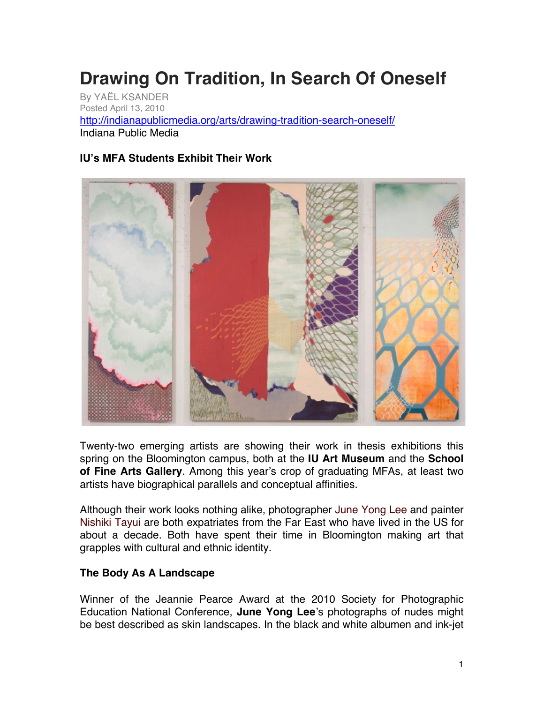## **Drawing On Tradition, In Search Of Oneself**

By YAËL KSANDER Posted April 13, 2010 http://indianapublicmedia.org/arts/drawing-tradition-search-oneself/ Indiana Public Media

## **IU's MFA Students Exhibit Their Work**



Twenty-two emerging artists are showing their work in thesis exhibitions this spring on the Bloomington campus, both at the **IU Art Museum** and the **School of Fine Arts Gallery**. Among this year's crop of graduating MFAs, at least two artists have biographical parallels and conceptual affinities.

Although their work looks nothing alike, photographer June Yong Lee and painter Nishiki Tayui are both expatriates from the Far East who have lived in the US for about a decade. Both have spent their time in Bloomington making art that grapples with cultural and ethnic identity.

## **The Body As A Landscape**

Winner of the Jeannie Pearce Award at the 2010 Society for Photographic Education National Conference, **June Yong Lee**'s photographs of nudes might be best described as skin landscapes. In the black and white albumen and ink-jet